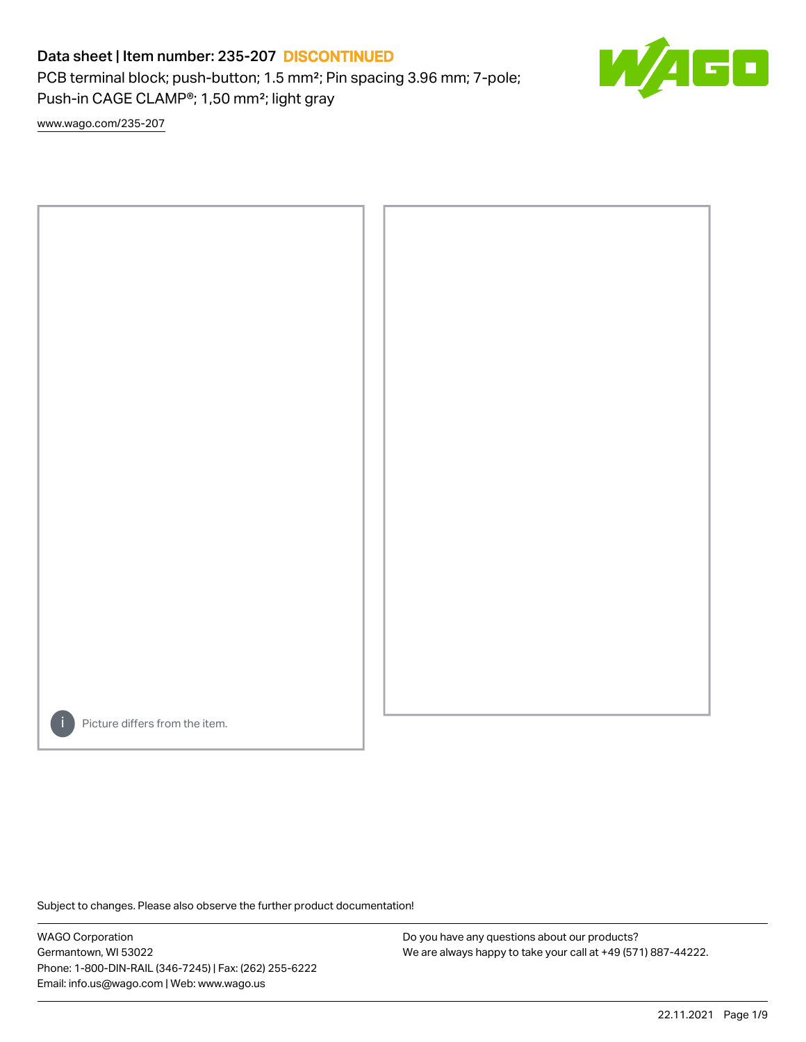PCB terminal block; push-button; 1.5 mm²; Pin spacing 3.96 mm; 7-pole; Push-in CAGE CLAMP®; 1,50 mm²; light gray

E

[www.wago.com/235-207](http://www.wago.com/235-207)



Picture differs from the item.

Subject to changes. Please also observe the further product documentation!

WAGO Corporation Germantown, WI 53022 Phone: 1-800-DIN-RAIL (346-7245) | Fax: (262) 255-6222 Email: info.us@wago.com | Web: www.wago.us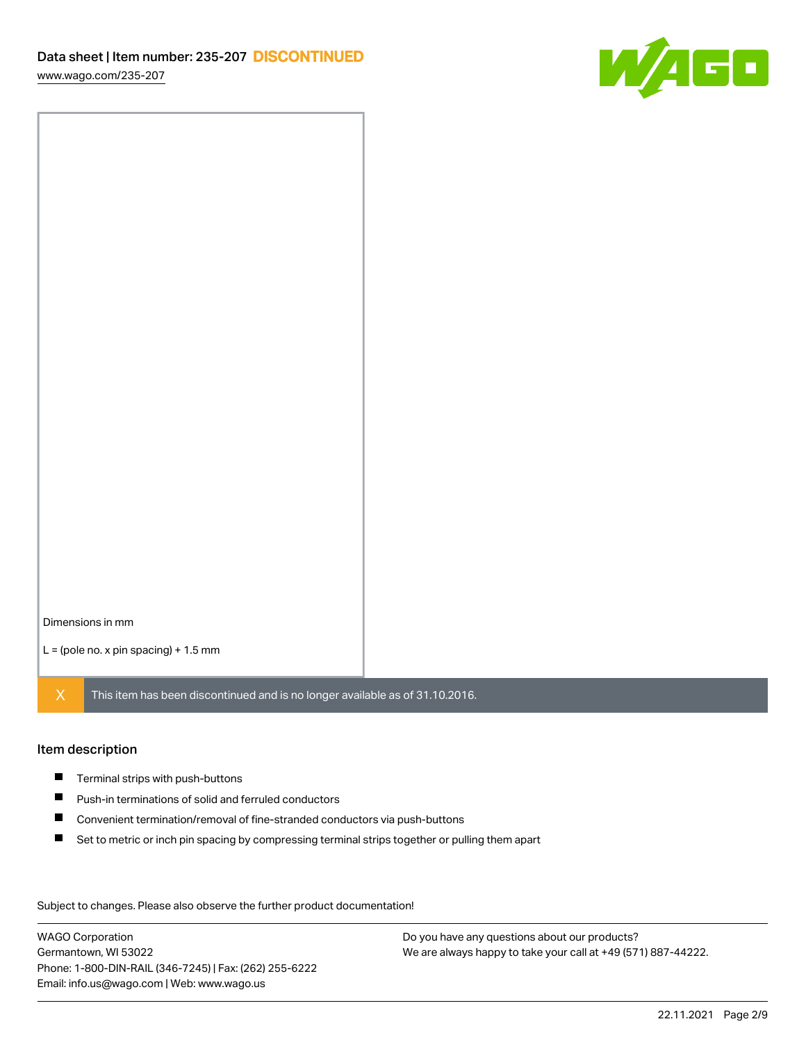[www.wago.com/235-207](http://www.wago.com/235-207)



Dimensions in mm

 $L =$  (pole no. x pin spacing) + 1.5 mm

 $X$  This item has been discontinued and is no longer available as of 31.10.2016.

#### Item description

- **Terminal strips with push-buttons**
- $\blacksquare$ Push-in terminations of solid and ferruled conductors
- $\blacksquare$ Convenient termination/removal of fine-stranded conductors via push-buttons
- $\blacksquare$ Set to metric or inch pin spacing by compressing terminal strips together or pulling them apart

Subject to changes. Please also observe the further product documentation! Data

WAGO Corporation Germantown, WI 53022 Phone: 1-800-DIN-RAIL (346-7245) | Fax: (262) 255-6222 Email: info.us@wago.com | Web: www.wago.us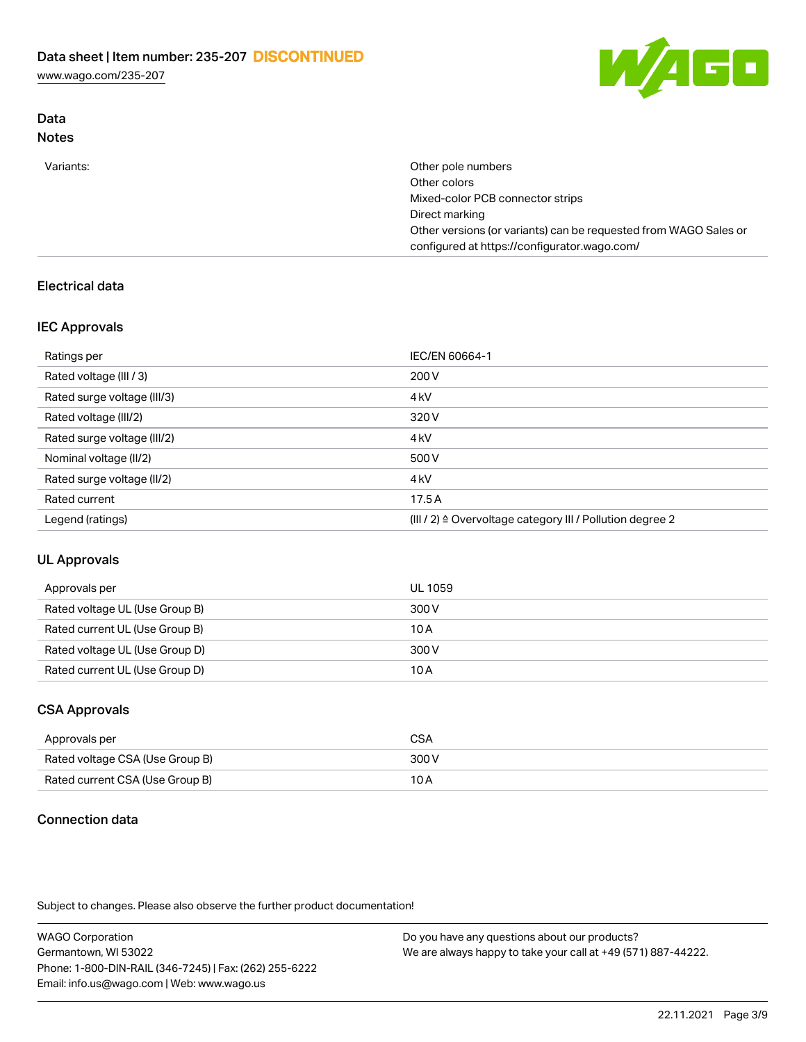[www.wago.com/235-207](http://www.wago.com/235-207)



#### Data Notes

| Variants: | Other pole numbers                                               |
|-----------|------------------------------------------------------------------|
|           | Other colors                                                     |
|           | Mixed-color PCB connector strips                                 |
|           | Direct marking                                                   |
|           | Other versions (or variants) can be requested from WAGO Sales or |
|           | configured at https://configurator.wago.com/                     |

## Electrical data

### IEC Approvals

| Ratings per                 | IEC/EN 60664-1                                                        |
|-----------------------------|-----------------------------------------------------------------------|
| Rated voltage (III / 3)     | 200 V                                                                 |
| Rated surge voltage (III/3) | 4 <sub>k</sub> V                                                      |
| Rated voltage (III/2)       | 320 V                                                                 |
| Rated surge voltage (III/2) | 4 <sub>k</sub> V                                                      |
| Nominal voltage (II/2)      | 500 V                                                                 |
| Rated surge voltage (II/2)  | 4 <sub>k</sub> V                                                      |
| Rated current               | 17.5A                                                                 |
| Legend (ratings)            | $(III / 2)$ $\triangle$ Overvoltage category III / Pollution degree 2 |

### UL Approvals

| Approvals per                  | UL 1059 |
|--------------------------------|---------|
| Rated voltage UL (Use Group B) | 300 V   |
| Rated current UL (Use Group B) | 10 A    |
| Rated voltage UL (Use Group D) | 300 V   |
| Rated current UL (Use Group D) | 10 A    |

### CSA Approvals

| Approvals per                   | CSA   |
|---------------------------------|-------|
| Rated voltage CSA (Use Group B) | 300 V |
| Rated current CSA (Use Group B) | 10 A  |

## Connection data

Subject to changes. Please also observe the further product documentation!

WAGO Corporation Germantown, WI 53022 Phone: 1-800-DIN-RAIL (346-7245) | Fax: (262) 255-6222 Email: info.us@wago.com | Web: www.wago.us Do you have any questions about our products? We are always happy to take your call at +49 (571) 887-44222.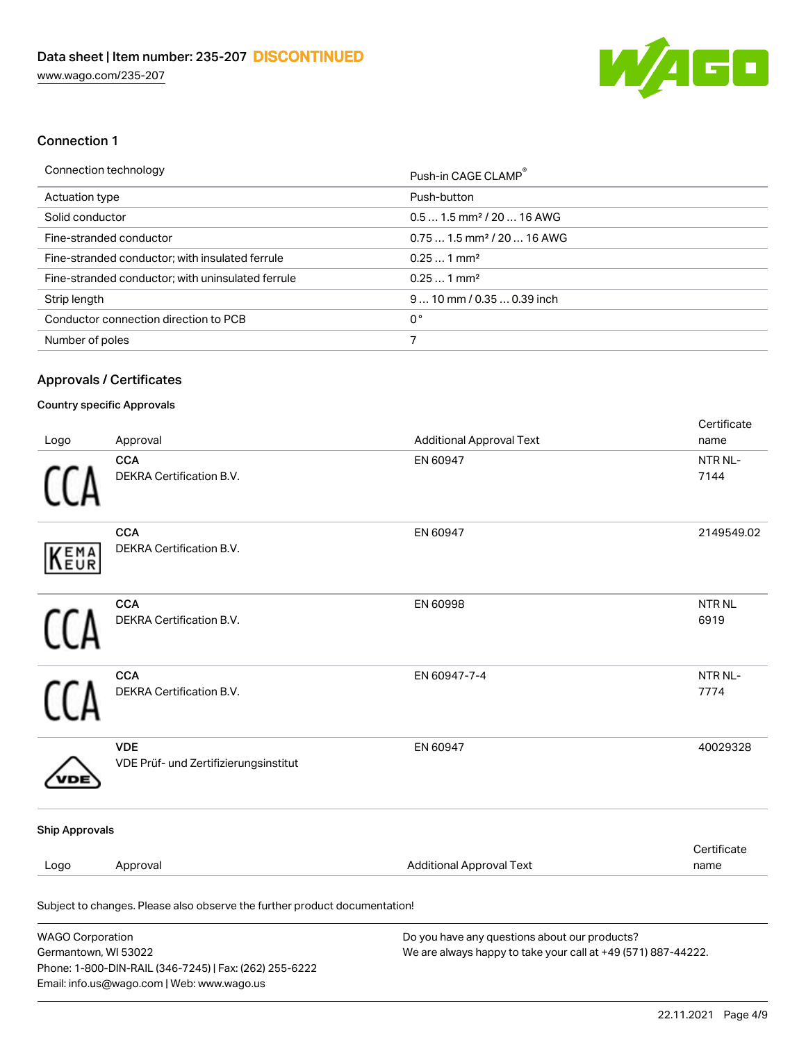

#### Connection 1

| Push-in CAGE CLAMP <sup>®</sup>        |
|----------------------------------------|
| Push-button                            |
| $0.51.5$ mm <sup>2</sup> / 20  16 AWG  |
| $0.751.5$ mm <sup>2</sup> / 20  16 AWG |
| $0.251$ mm <sup>2</sup>                |
| $0.251$ mm <sup>2</sup>                |
| $910$ mm $/0.350.39$ inch              |
|                                        |
|                                        |
|                                        |

#### Approvals / Certificates

#### Country specific Approvals

Email: info.us@wago.com | Web: www.wago.us

| Logo                                            | Approval                                                                   | <b>Additional Approval Text</b>                                                                                | Certificate<br>name       |
|-------------------------------------------------|----------------------------------------------------------------------------|----------------------------------------------------------------------------------------------------------------|---------------------------|
|                                                 | <b>CCA</b><br>DEKRA Certification B.V.                                     | EN 60947                                                                                                       | NTR NL-<br>7144           |
| EMA<br>EUR                                      | <b>CCA</b><br>DEKRA Certification B.V.                                     | EN 60947                                                                                                       | 2149549.02                |
|                                                 | <b>CCA</b><br>DEKRA Certification B.V.                                     | EN 60998                                                                                                       | NTR <sub>NL</sub><br>6919 |
|                                                 | <b>CCA</b><br>DEKRA Certification B.V.                                     | EN 60947-7-4                                                                                                   | NTR NL-<br>7774           |
|                                                 | <b>VDE</b><br>VDE Prüf- und Zertifizierungsinstitut                        | EN 60947                                                                                                       | 40029328                  |
| <b>Ship Approvals</b>                           |                                                                            |                                                                                                                |                           |
| Logo                                            | Approval                                                                   | <b>Additional Approval Text</b>                                                                                | Certificate<br>name       |
|                                                 | Subject to changes. Please also observe the further product documentation! |                                                                                                                |                           |
| <b>WAGO Corporation</b><br>Germantown, WI 53022 | Phone: 1-800-DIN-RAIL (346-7245)   Fax: (262) 255-6222                     | Do you have any questions about our products?<br>We are always happy to take your call at +49 (571) 887-44222. |                           |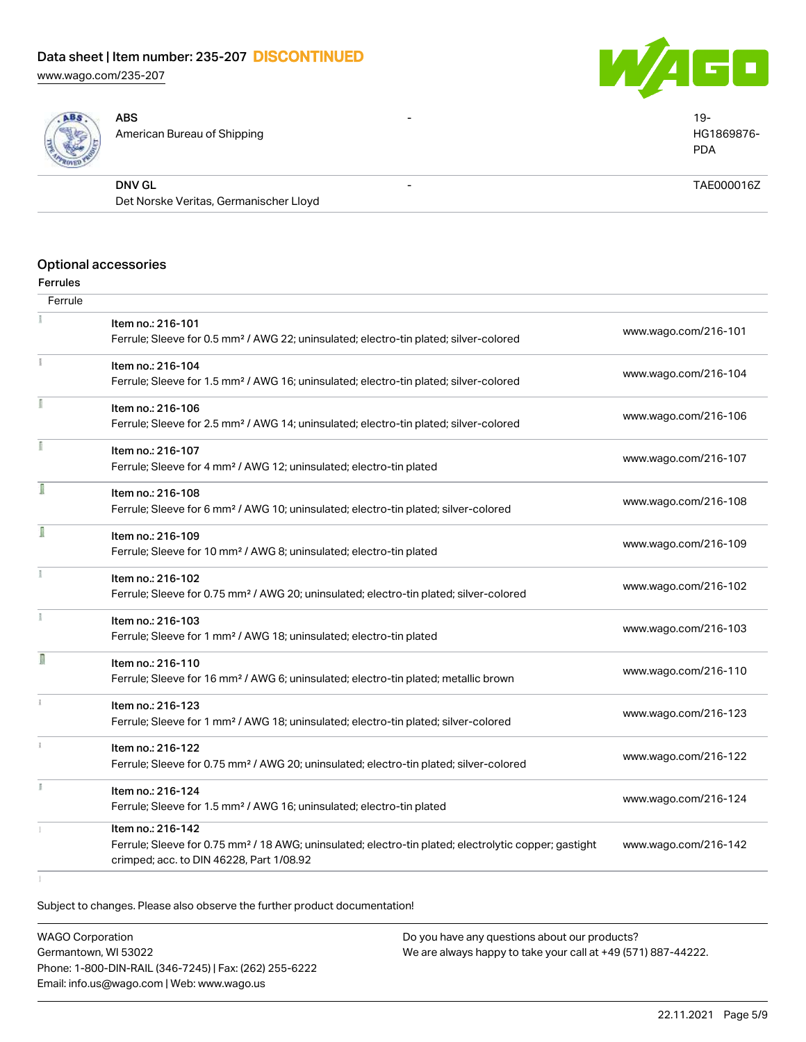[www.wago.com/235-207](http://www.wago.com/235-207)





| <b>SALES</b> | ABS<br>$\overline{\phantom{0}}$<br>American Bureau of Shipping | 19-<br>HG1869876-<br><b>PDA</b> |
|--------------|----------------------------------------------------------------|---------------------------------|
|              | <b>DNV GL</b>                                                  | TAE000016Z                      |
|              | Det Norske Veritas, Germanischer Lloyd                         |                                 |

#### Optional accessories

#### Ferrules

| Ferrule      |                                                                                                                        |                      |
|--------------|------------------------------------------------------------------------------------------------------------------------|----------------------|
|              | Item no.: 216-101<br>Ferrule; Sleeve for 0.5 mm <sup>2</sup> / AWG 22; uninsulated; electro-tin plated; silver-colored | www.wago.com/216-101 |
| Ť.           | Item no.: 216-104<br>Ferrule; Sleeve for 1.5 mm <sup>2</sup> / AWG 16; uninsulated; electro-tin plated; silver-colored | www.wago.com/216-104 |
|              |                                                                                                                        |                      |
|              | Item no.: 216-106                                                                                                      | www.wago.com/216-106 |
|              | Ferrule; Sleeve for 2.5 mm <sup>2</sup> / AWG 14; uninsulated; electro-tin plated; silver-colored                      |                      |
|              | Item no.: 216-107                                                                                                      |                      |
|              | Ferrule; Sleeve for 4 mm <sup>2</sup> / AWG 12; uninsulated; electro-tin plated                                        | www.wago.com/216-107 |
|              | Item no.: 216-108                                                                                                      |                      |
|              | Ferrule; Sleeve for 6 mm <sup>2</sup> / AWG 10; uninsulated; electro-tin plated; silver-colored                        | www.wago.com/216-108 |
|              | Item no.: 216-109                                                                                                      |                      |
|              | Ferrule; Sleeve for 10 mm <sup>2</sup> / AWG 8; uninsulated; electro-tin plated                                        | www.wago.com/216-109 |
|              | Item no.: 216-102                                                                                                      |                      |
|              | Ferrule; Sleeve for 0.75 mm <sup>2</sup> / AWG 20; uninsulated; electro-tin plated; silver-colored                     | www.wago.com/216-102 |
|              | Item no.: 216-103                                                                                                      |                      |
|              | Ferrule; Sleeve for 1 mm <sup>2</sup> / AWG 18; uninsulated; electro-tin plated                                        | www.wago.com/216-103 |
| D            | Item no.: 216-110                                                                                                      |                      |
|              | Ferrule; Sleeve for 16 mm <sup>2</sup> / AWG 6; uninsulated; electro-tin plated; metallic brown                        | www.wago.com/216-110 |
|              | Item no.: 216-123                                                                                                      |                      |
|              | Ferrule; Sleeve for 1 mm <sup>2</sup> / AWG 18; uninsulated; electro-tin plated; silver-colored                        | www.wago.com/216-123 |
| $\mathbf{I}$ | Item no.: 216-122                                                                                                      |                      |
|              | Ferrule; Sleeve for 0.75 mm <sup>2</sup> / AWG 20; uninsulated; electro-tin plated; silver-colored                     | www.wago.com/216-122 |
|              | Item no.: 216-124                                                                                                      |                      |
|              | Ferrule; Sleeve for 1.5 mm <sup>2</sup> / AWG 16; uninsulated; electro-tin plated                                      | www.wago.com/216-124 |
|              | Item no.: 216-142                                                                                                      |                      |
|              | Ferrule; Sleeve for 0.75 mm <sup>2</sup> / 18 AWG; uninsulated; electro-tin plated; electrolytic copper; gastight      | www.wago.com/216-142 |
|              | crimped; acc. to DIN 46228, Part 1/08.92                                                                               |                      |
|              |                                                                                                                        |                      |

Subject to changes. Please also observe the further product documentation!

WAGO Corporation Germantown, WI 53022 Phone: 1-800-DIN-RAIL (346-7245) | Fax: (262) 255-6222 Email: info.us@wago.com | Web: www.wago.us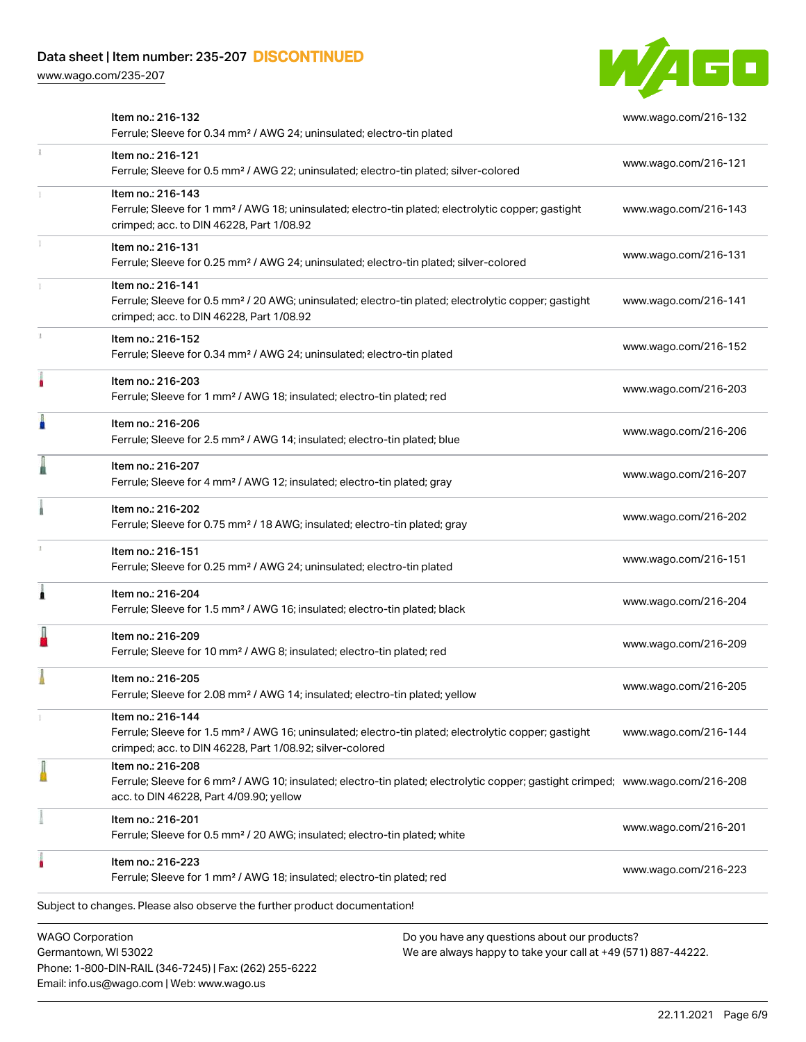Phone: 1-800-DIN-RAIL (346-7245) | Fax: (262) 255-6222

Email: info.us@wago.com | Web: www.wago.us

[www.wago.com/235-207](http://www.wago.com/235-207)



|                                                 | Item no.: 216-132<br>Ferrule; Sleeve for 0.34 mm <sup>2</sup> / AWG 24; uninsulated; electro-tin plated                                                                                                    |                                                                                                                | www.wago.com/216-132 |
|-------------------------------------------------|------------------------------------------------------------------------------------------------------------------------------------------------------------------------------------------------------------|----------------------------------------------------------------------------------------------------------------|----------------------|
| $\frac{1}{3}$                                   | Item no.: 216-121<br>Ferrule; Sleeve for 0.5 mm <sup>2</sup> / AWG 22; uninsulated; electro-tin plated; silver-colored                                                                                     |                                                                                                                | www.wago.com/216-121 |
|                                                 | Item no.: 216-143<br>Ferrule; Sleeve for 1 mm <sup>2</sup> / AWG 18; uninsulated; electro-tin plated; electrolytic copper; gastight<br>crimped; acc. to DIN 46228, Part 1/08.92                            |                                                                                                                | www.wago.com/216-143 |
|                                                 | Item no.: 216-131<br>Ferrule; Sleeve for 0.25 mm <sup>2</sup> / AWG 24; uninsulated; electro-tin plated; silver-colored                                                                                    |                                                                                                                | www.wago.com/216-131 |
|                                                 | Item no.: 216-141<br>Ferrule; Sleeve for 0.5 mm <sup>2</sup> / 20 AWG; uninsulated; electro-tin plated; electrolytic copper; gastight<br>crimped; acc. to DIN 46228, Part 1/08.92                          |                                                                                                                | www.wago.com/216-141 |
|                                                 | Item no.: 216-152<br>Ferrule; Sleeve for 0.34 mm <sup>2</sup> / AWG 24; uninsulated; electro-tin plated                                                                                                    |                                                                                                                | www.wago.com/216-152 |
|                                                 | Item no.: 216-203<br>Ferrule; Sleeve for 1 mm <sup>2</sup> / AWG 18; insulated; electro-tin plated; red                                                                                                    |                                                                                                                | www.wago.com/216-203 |
| Ä                                               | Item no.: 216-206<br>Ferrule; Sleeve for 2.5 mm <sup>2</sup> / AWG 14; insulated; electro-tin plated; blue                                                                                                 |                                                                                                                | www.wago.com/216-206 |
|                                                 | Item no.: 216-207<br>Ferrule; Sleeve for 4 mm <sup>2</sup> / AWG 12; insulated; electro-tin plated; gray                                                                                                   |                                                                                                                | www.wago.com/216-207 |
|                                                 | Item no.: 216-202<br>Ferrule; Sleeve for 0.75 mm <sup>2</sup> / 18 AWG; insulated; electro-tin plated; gray                                                                                                |                                                                                                                | www.wago.com/216-202 |
|                                                 | Item no.: 216-151<br>Ferrule; Sleeve for 0.25 mm <sup>2</sup> / AWG 24; uninsulated; electro-tin plated                                                                                                    |                                                                                                                | www.wago.com/216-151 |
| Â                                               | Item no.: 216-204<br>Ferrule; Sleeve for 1.5 mm <sup>2</sup> / AWG 16; insulated; electro-tin plated; black                                                                                                |                                                                                                                | www.wago.com/216-204 |
|                                                 | Item no.: 216-209<br>Ferrule; Sleeve for 10 mm <sup>2</sup> / AWG 8; insulated; electro-tin plated; red                                                                                                    |                                                                                                                | www.wago.com/216-209 |
|                                                 | Item no.: 216-205<br>Ferrule; Sleeve for 2.08 mm <sup>2</sup> / AWG 14; insulated; electro-tin plated; yellow                                                                                              |                                                                                                                | www.wago.com/216-205 |
|                                                 | Item no.: 216-144<br>Ferrule; Sleeve for 1.5 mm <sup>2</sup> / AWG 16; uninsulated; electro-tin plated; electrolytic copper; gastight<br>crimped; acc. to DIN 46228, Part 1/08.92; silver-colored          |                                                                                                                | www.wago.com/216-144 |
|                                                 | Item no.: 216-208<br>Ferrule; Sleeve for 6 mm <sup>2</sup> / AWG 10; insulated; electro-tin plated; electrolytic copper; gastight crimped; www.wago.com/216-208<br>acc. to DIN 46228, Part 4/09.90; yellow |                                                                                                                |                      |
|                                                 | Item no.: 216-201<br>Ferrule; Sleeve for 0.5 mm <sup>2</sup> / 20 AWG; insulated; electro-tin plated; white                                                                                                |                                                                                                                | www.wago.com/216-201 |
|                                                 | Item no.: 216-223<br>Ferrule; Sleeve for 1 mm <sup>2</sup> / AWG 18; insulated; electro-tin plated; red                                                                                                    |                                                                                                                | www.wago.com/216-223 |
|                                                 | Subject to changes. Please also observe the further product documentation!                                                                                                                                 |                                                                                                                |                      |
| <b>WAGO Corporation</b><br>Germantown, WI 53022 |                                                                                                                                                                                                            | Do you have any questions about our products?<br>We are always happy to take your call at +49 (571) 887-44222. |                      |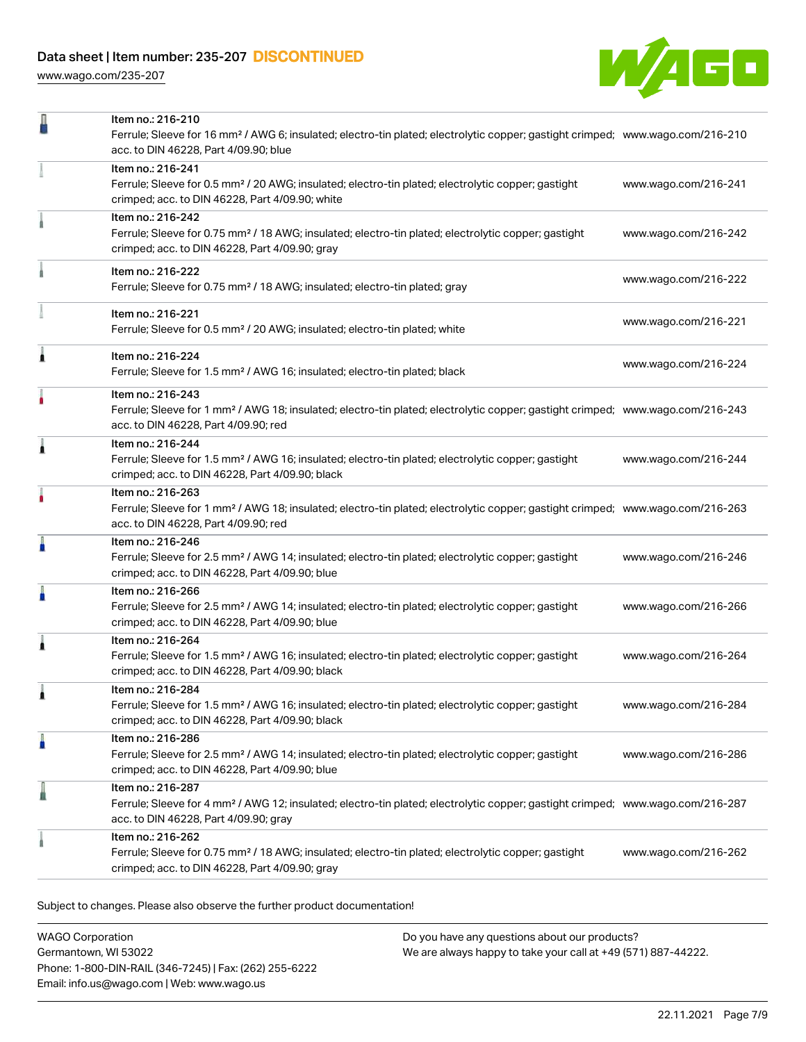[www.wago.com/235-207](http://www.wago.com/235-207)



| Item no.: 216-241<br>Ferrule; Sleeve for 0.5 mm <sup>2</sup> / 20 AWG; insulated; electro-tin plated; electrolytic copper; gastight<br>crimped; acc. to DIN 46228, Part 4/09.90; white                       |                      |
|--------------------------------------------------------------------------------------------------------------------------------------------------------------------------------------------------------------|----------------------|
|                                                                                                                                                                                                              | www.wago.com/216-241 |
| Item no.: 216-242<br>Ferrule; Sleeve for 0.75 mm <sup>2</sup> / 18 AWG; insulated; electro-tin plated; electrolytic copper; gastight<br>crimped; acc. to DIN 46228, Part 4/09.90; gray                       | www.wago.com/216-242 |
| Item no.: 216-222<br>Ferrule; Sleeve for 0.75 mm <sup>2</sup> / 18 AWG; insulated; electro-tin plated; gray                                                                                                  | www.wago.com/216-222 |
| Item no.: 216-221<br>Ferrule; Sleeve for 0.5 mm <sup>2</sup> / 20 AWG; insulated; electro-tin plated; white                                                                                                  | www.wago.com/216-221 |
| Â<br>Item no.: 216-224<br>Ferrule; Sleeve for 1.5 mm <sup>2</sup> / AWG 16; insulated; electro-tin plated; black                                                                                             | www.wago.com/216-224 |
| Item no.: 216-243<br>٠<br>Ferrule; Sleeve for 1 mm <sup>2</sup> / AWG 18; insulated; electro-tin plated; electrolytic copper; gastight crimped; www.wago.com/216-243<br>acc. to DIN 46228, Part 4/09.90; red |                      |
| Item no.: 216-244<br>Â<br>Ferrule; Sleeve for 1.5 mm <sup>2</sup> / AWG 16; insulated; electro-tin plated; electrolytic copper; gastight<br>crimped; acc. to DIN 46228, Part 4/09.90; black                  | www.wago.com/216-244 |
| Item no.: 216-263<br>Ferrule; Sleeve for 1 mm <sup>2</sup> / AWG 18; insulated; electro-tin plated; electrolytic copper; gastight crimped; www.wago.com/216-263<br>acc. to DIN 46228, Part 4/09.90; red      |                      |
| Item no.: 216-246<br>ň<br>Ferrule; Sleeve for 2.5 mm <sup>2</sup> / AWG 14; insulated; electro-tin plated; electrolytic copper; gastight<br>crimped; acc. to DIN 46228, Part 4/09.90; blue                   | www.wago.com/216-246 |
| Item no.: 216-266<br>Ferrule; Sleeve for 2.5 mm <sup>2</sup> / AWG 14; insulated; electro-tin plated; electrolytic copper; gastight<br>crimped; acc. to DIN 46228, Part 4/09.90; blue                        | www.wago.com/216-266 |
| Item no.: 216-264<br>j<br>Ferrule; Sleeve for 1.5 mm <sup>2</sup> / AWG 16; insulated; electro-tin plated; electrolytic copper; gastight<br>crimped; acc. to DIN 46228, Part 4/09.90; black                  | www.wago.com/216-264 |
| Item no.: 216-284<br>Ferrule; Sleeve for 1.5 mm <sup>2</sup> / AWG 16; insulated; electro-tin plated; electrolytic copper; gastight<br>crimped; acc. to DIN 46228, Part 4/09.90; black                       | www.wago.com/216-284 |
| Item no.: 216-286<br>A<br>Ferrule; Sleeve for 2.5 mm <sup>2</sup> / AWG 14; insulated; electro-tin plated; electrolytic copper; gastight<br>crimped; acc. to DIN 46228, Part 4/09.90; blue                   | www.wago.com/216-286 |
| Item no.: 216-287<br>Ferrule; Sleeve for 4 mm <sup>2</sup> / AWG 12; insulated; electro-tin plated; electrolytic copper; gastight crimped; www.wago.com/216-287<br>acc. to DIN 46228, Part 4/09.90; gray     |                      |
| Item no.: 216-262<br>Ferrule; Sleeve for 0.75 mm <sup>2</sup> / 18 AWG; insulated; electro-tin plated; electrolytic copper; gastight<br>crimped; acc. to DIN 46228, Part 4/09.90; gray                       | www.wago.com/216-262 |

Subject to changes. Please also observe the further product documentation!

WAGO Corporation Germantown, WI 53022 Phone: 1-800-DIN-RAIL (346-7245) | Fax: (262) 255-6222 Email: info.us@wago.com | Web: www.wago.us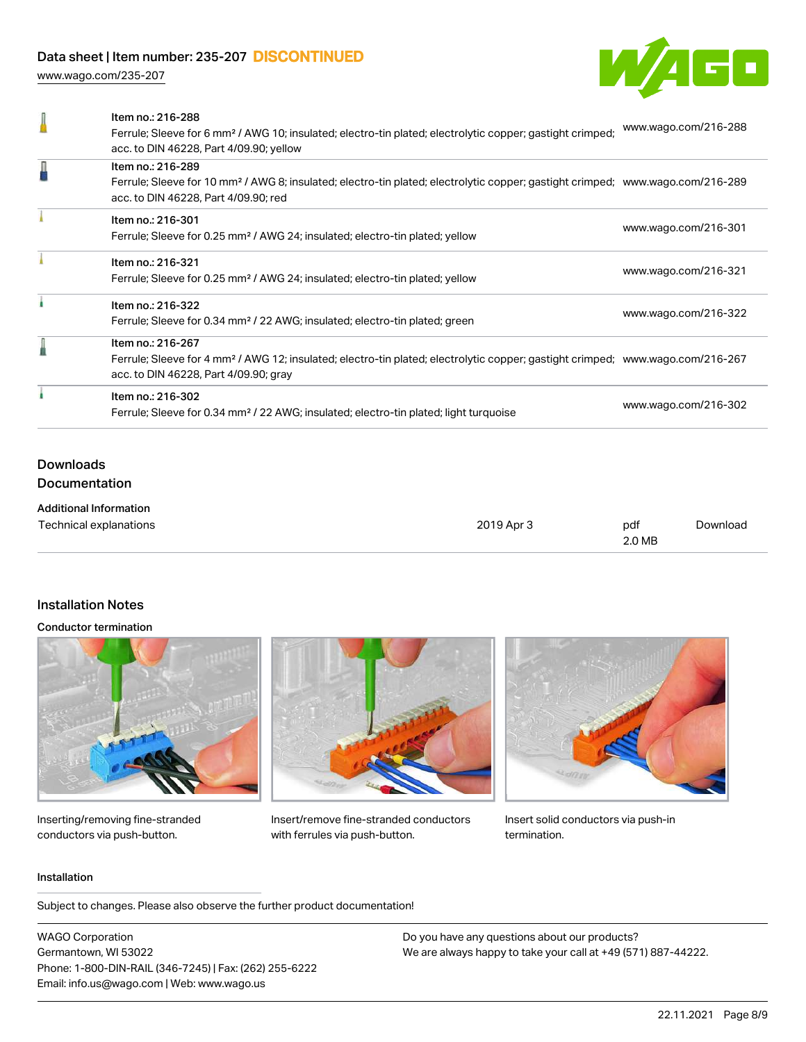[www.wago.com/235-207](http://www.wago.com/235-207)



| Item no.: 216-288<br>Ferrule; Sleeve for 6 mm <sup>2</sup> / AWG 10; insulated; electro-tin plated; electrolytic copper; gastight crimped;<br>acc. to DIN 46228, Part 4/09.90; yellow                    | www.wago.com/216-288 |
|----------------------------------------------------------------------------------------------------------------------------------------------------------------------------------------------------------|----------------------|
| Item no.: 216-289<br>Ferrule; Sleeve for 10 mm <sup>2</sup> / AWG 8; insulated; electro-tin plated; electrolytic copper; gastight crimped; www.wago.com/216-289<br>acc. to DIN 46228, Part 4/09.90; red  |                      |
| Item no.: 216-301<br>Ferrule; Sleeve for 0.25 mm <sup>2</sup> / AWG 24; insulated; electro-tin plated; yellow                                                                                            | www.wago.com/216-301 |
| Item no.: 216-321<br>Ferrule; Sleeve for 0.25 mm <sup>2</sup> / AWG 24; insulated; electro-tin plated; yellow                                                                                            | www.wago.com/216-321 |
| Item no.: 216-322<br>Ferrule; Sleeve for 0.34 mm <sup>2</sup> / 22 AWG; insulated; electro-tin plated; green                                                                                             | www.wago.com/216-322 |
| Item no.: 216-267<br>Ferrule; Sleeve for 4 mm <sup>2</sup> / AWG 12; insulated; electro-tin plated; electrolytic copper; gastight crimped; www.wago.com/216-267<br>acc. to DIN 46228, Part 4/09.90; gray |                      |
| Item no.: 216-302<br>Ferrule; Sleeve for 0.34 mm <sup>2</sup> / 22 AWG; insulated; electro-tin plated; light turquoise                                                                                   | www.wago.com/216-302 |
|                                                                                                                                                                                                          |                      |

### Downloads Documentation

| <b>Additional Information</b> |            |        |          |
|-------------------------------|------------|--------|----------|
| Technical explanations        | 2019 Apr 3 | pdf    | Download |
|                               |            | 2.0 MB |          |

### Installation Notes

#### Conductor termination



Inserting/removing fine-stranded conductors via push-button.



Insert/remove fine-stranded conductors with ferrules via push-button.



Insert solid conductors via push-in termination.

#### Installation

Subject to changes. Please also observe the further product documentation!

WAGO Corporation Germantown, WI 53022 Phone: 1-800-DIN-RAIL (346-7245) | Fax: (262) 255-6222 Email: info.us@wago.com | Web: www.wago.us